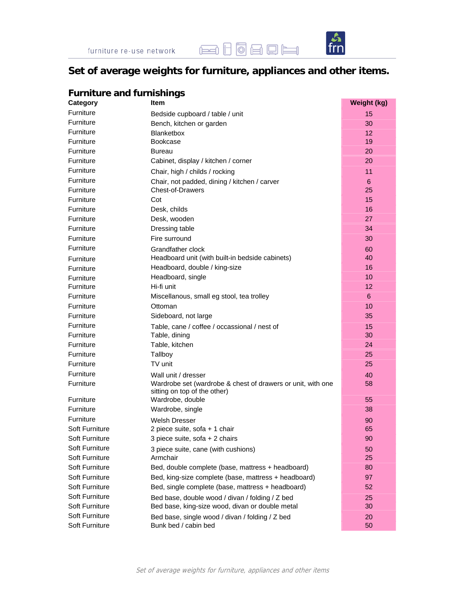



## **Set of average weights for furniture, appliances and other items.**

| <b>Furniture and furnishings</b> |                                                             |                 |  |
|----------------------------------|-------------------------------------------------------------|-----------------|--|
| Category                         | <b>Item</b>                                                 | Weight (kg)     |  |
| Furniture                        | Bedside cupboard / table / unit                             | 15              |  |
| Furniture                        | Bench, kitchen or garden                                    | 30              |  |
| Furniture                        | <b>Blanketbox</b>                                           | 12 <sup>°</sup> |  |
| Furniture                        | <b>Bookcase</b>                                             | 19              |  |
| Furniture                        | Bureau                                                      | 20              |  |
| Furniture                        | Cabinet, display / kitchen / corner                         | 20              |  |
| Furniture                        | Chair, high / childs / rocking                              | 11              |  |
| Furniture                        | Chair, not padded, dining / kitchen / carver                | 6               |  |
| Furniture                        | Chest-of-Drawers                                            | 25              |  |
| Furniture                        | Cot                                                         | 15              |  |
| Furniture                        | Desk, childs                                                | 16              |  |
| Furniture                        | Desk, wooden                                                | 27              |  |
| Furniture                        | Dressing table                                              | 34              |  |
| Furniture                        | Fire surround                                               | 30              |  |
| Furniture                        | Grandfather clock                                           | 60              |  |
| Furniture                        | Headboard unit (with built-in bedside cabinets)             | 40              |  |
| Furniture                        | Headboard, double / king-size                               | 16              |  |
| Furniture                        | Headboard, single                                           | 10              |  |
| Furniture                        | Hi-fi unit                                                  | 12              |  |
| Furniture                        | Miscellanous, small eg stool, tea trolley                   | 6               |  |
| Furniture                        | Ottoman                                                     | 10              |  |
| Furniture                        | Sideboard, not large                                        | 35              |  |
| Furniture                        | Table, cane / coffee / occassional / nest of                | 15              |  |
| Furniture                        | Table, dining                                               | 30              |  |
| Furniture                        | Table, kitchen                                              | 24              |  |
| Furniture                        | Tallboy                                                     | 25              |  |
| Furniture                        | TV unit                                                     | 25              |  |
| Furniture                        | Wall unit / dresser                                         | 40              |  |
| Furniture                        | Wardrobe set (wardrobe & chest of drawers or unit, with one | 58              |  |
|                                  | sitting on top of the other)                                |                 |  |
| Furniture                        | Wardrobe, double                                            | 55              |  |
| Furniture                        | Wardrobe, single                                            | 38              |  |
| Furniture                        | Welsh Dresser                                               | 90              |  |
| Soft Furniture                   | 2 piece suite, sofa + 1 chair                               | 65              |  |
| Soft Furniture                   | 3 piece suite, sofa + 2 chairs                              | 90              |  |
| Soft Furniture                   | 3 piece suite, cane (with cushions)                         | 50              |  |
| Soft Furniture                   | Armchair                                                    | 25              |  |
| Soft Furniture                   | Bed, double complete (base, mattress + headboard)           | 80              |  |
| Soft Furniture                   | Bed, king-size complete (base, mattress + headboard)        | 97              |  |
| Soft Furniture                   | Bed, single complete (base, mattress + headboard)           | 52              |  |
| Soft Furniture                   | Bed base, double wood / divan / folding / Z bed             | 25              |  |
| Soft Furniture                   | Bed base, king-size wood, divan or double metal             | 30              |  |
| Soft Furniture                   | Bed base, single wood / divan / folding / Z bed             | 20              |  |
| Soft Furniture                   | Bunk bed / cabin bed                                        | 50              |  |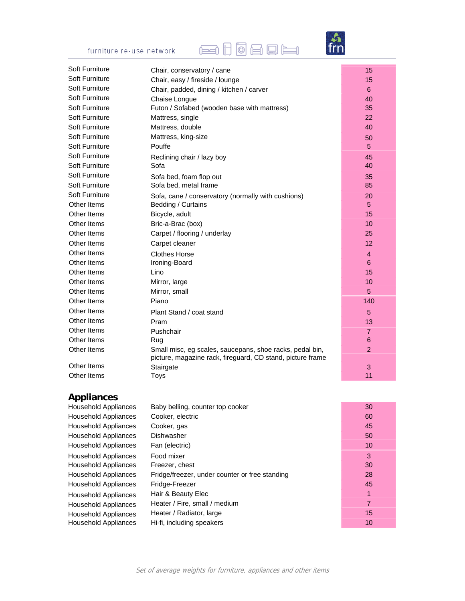# **Edd d d d d d d**

 $\frac{\mathcal{S}}{\text{frn}}$ 

| furniture re-use network |
|--------------------------|
|--------------------------|

| Soft Furniture | Chair, conservatory / cane                                                                                             | 15             |
|----------------|------------------------------------------------------------------------------------------------------------------------|----------------|
| Soft Furniture | Chair, easy / fireside / lounge                                                                                        | 15             |
| Soft Furniture | Chair, padded, dining / kitchen / carver                                                                               | 6              |
| Soft Furniture | Chaise Longue                                                                                                          | 40             |
| Soft Furniture | Futon / Sofabed (wooden base with mattress)                                                                            | 35             |
| Soft Furniture | Mattress, single                                                                                                       | 22             |
| Soft Furniture | Mattress, double                                                                                                       | 40             |
| Soft Furniture | Mattress, king-size                                                                                                    | 50             |
| Soft Furniture | Pouffe                                                                                                                 | 5              |
| Soft Furniture | Reclining chair / lazy boy                                                                                             | 45             |
| Soft Furniture | Sofa                                                                                                                   | 40             |
| Soft Furniture | Sofa bed, foam flop out                                                                                                | 35             |
| Soft Furniture | Sofa bed, metal frame                                                                                                  | 85             |
| Soft Furniture | Sofa, cane / conservatory (normally with cushions)                                                                     | 20             |
| Other Items    | Bedding / Curtains                                                                                                     | 5              |
| Other Items    | Bicycle, adult                                                                                                         | 15             |
| Other Items    | Bric-a-Brac (box)                                                                                                      | 10             |
| Other Items    | Carpet / flooring / underlay                                                                                           | 25             |
| Other Items    | Carpet cleaner                                                                                                         | 12             |
| Other Items    | <b>Clothes Horse</b>                                                                                                   | $\overline{4}$ |
| Other Items    | Ironing-Board                                                                                                          | 6              |
| Other Items    | Lino                                                                                                                   | 15             |
| Other Items    | Mirror, large                                                                                                          | 10             |
| Other Items    | Mirror, small                                                                                                          | 5              |
| Other Items    | Piano                                                                                                                  | 140            |
| Other Items    | Plant Stand / coat stand                                                                                               | 5              |
| Other Items    | Pram                                                                                                                   | 13             |
| Other Items    | Pushchair                                                                                                              | 7              |
| Other Items    | Rug                                                                                                                    | 6              |
| Other Items    | Small misc, eg scales, saucepans, shoe racks, pedal bin,<br>picture, magazine rack, fireguard, CD stand, picture frame | $\overline{2}$ |
| Other Items    | Stairgate                                                                                                              | 3              |
| Other Items    | <b>Toys</b>                                                                                                            | 11             |

## **Appliances**

| <b>Household Appliances</b> | Baby belling, counter top cooker               | 30 |
|-----------------------------|------------------------------------------------|----|
| Household Appliances        | Cooker, electric                               | 60 |
| <b>Household Appliances</b> | Cooker, gas                                    | 45 |
| Household Appliances        | <b>Dishwasher</b>                              | 50 |
| <b>Household Appliances</b> | Fan (electric)                                 | 10 |
| <b>Household Appliances</b> | Food mixer                                     | 3  |
| Household Appliances        | Freezer, chest                                 | 30 |
| Household Appliances        | Fridge/freezer, under counter or free standing | 28 |
| <b>Household Appliances</b> | Fridge-Freezer                                 | 45 |
| <b>Household Appliances</b> | Hair & Beauty Elec                             |    |
| <b>Household Appliances</b> | Heater / Fire, small / medium                  | 7  |
| <b>Household Appliances</b> | Heater / Radiator, large                       | 15 |
| Household Appliances        | Hi-fi, including speakers                      | 10 |
|                             |                                                |    |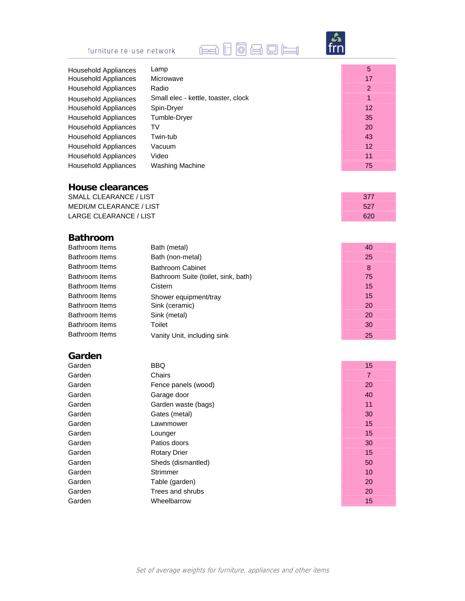# **Ed Ho & Q E**



| <b>Household Appliances</b> | Lamp                                | 5  |
|-----------------------------|-------------------------------------|----|
| Household Appliances        | Microwave                           | 17 |
| <b>Household Appliances</b> | Radio                               | 2  |
| <b>Household Appliances</b> | Small elec - kettle, toaster, clock | 1  |
| Household Appliances        | Spin-Dryer                          | 12 |
| <b>Household Appliances</b> | Tumble-Dryer                        | 35 |
| Household Appliances        | TV                                  | 20 |
| <b>Household Appliances</b> | Twin-tub                            | 43 |
| <b>Household Appliances</b> | Vacuum                              | 12 |
| Household Appliances        | Video                               | 11 |
| Household Appliances        | <b>Washing Machine</b>              | 75 |
|                             |                                     |    |

#### **House clearances**

SMALL CLEARANCE / LIST 377 MEDIUM CLEARANCE / LIST 527 LARGE CLEARANCE / LIST 620

### **Bathroom**

| Bath (metal)                        | 40 |
|-------------------------------------|----|
| Bath (non-metal)                    | 25 |
| Bathroom Cabinet                    | 8  |
| Bathroom Suite (toilet, sink, bath) | 75 |
| Cistern                             | 15 |
| Shower equipment/tray               | 15 |
| Sink (ceramic)                      | 20 |
| Sink (metal)                        | 20 |
| Toilet                              | 30 |
| Vanity Unit, including sink         | 25 |
|                                     |    |

### **Garden**

| Garden | <b>BBQ</b>          | 15 |
|--------|---------------------|----|
| Garden | Chairs              | 7  |
| Garden | Fence panels (wood) | 20 |
| Garden | Garage door         | 40 |
| Garden | Garden waste (bags) | 11 |
| Garden | Gates (metal)       | 30 |
| Garden | Lawnmower           | 15 |
| Garden | Lounger             | 15 |
| Garden | Patios doors        | 30 |
| Garden | <b>Rotary Drier</b> | 15 |
| Garden | Sheds (dismantled)  | 50 |
| Garden | Strimmer            | 10 |
| Garden | Table (garden)      | 20 |
| Garden | Trees and shrubs    | 20 |
| Garden | Wheelbarrow         | 15 |
|        |                     |    |

| 15             |  |
|----------------|--|
| $\overline{7}$ |  |
| 20             |  |
| 40             |  |
| 11             |  |
| 30             |  |
| 15             |  |
| 15             |  |
| 30             |  |
| 15             |  |
| 50             |  |
| 10             |  |
| 20             |  |
| 20             |  |
| 15             |  |